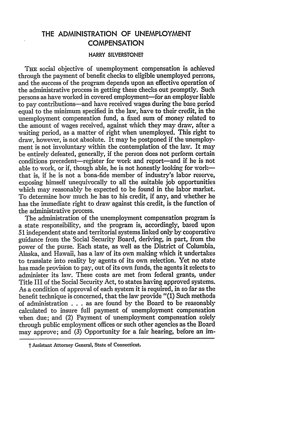# **THE ADMINISTRATION OF UNEMPLOYMENT COMPENSATION**

# HARRY SILVERSTONEt

**THE** social objective of unemployment compensation is achieved through the payment of benefit checks to eligible unemployed persons, and the success of the program depends upon an effective operation of the administrative process in getting these checks out promptly. Such persons as have worked in covered employment-for an employer liable to pay contributions-and have received wages during the base period equal to the minimum specified in the law, have to their credit, in the unemployment compensation fund, a fixed sum of money related to the amount of wages received, against which they may draw, after a waiting period, as a matter of right when unemployed. This right to draw, however, is not absolute. It may be postponed if the unemployment is not involuntary within the contemplation of the law. It may be entirely defeated, generally, if the person does not perform certain conditions precedent-register for work and report-and if he is not able to work, or if, though able, he is not honestly looking for workthat is, if he is not a bona-fide member of industry's labor reserve, exposing himself unequivocally to all the suitable job opportunities which may reasonably be expected to be found in the labor market. To determine how much he has to his credit, if any, and whether he has the immediate right to draw against this credit, is the function of the administrative process.

The administration of the unemployment compensation program is a state responsibility, and the program is, accordingly, based upon 51 independent state and territorial systems linked only by cooperative guidance from the Social Security Board, deriving, in part, from the power of the purse. Each state, as well as the District of Columbia, Alaska, and Hawaii, has a law of its own making which it undertakes to translate into reality by agents of its own selection. Yet no state has made provision to pay, out of its own funds, the agents it selects to administer its law. These costs are met from federal grants, under Title III of the Social Security Act, to states having approved systems. As a condition of approval of each system it is required, in so far as the benefit technique is concerned, that the law provide "(1) Such methods of administration . . . as are found by the Board to be reasonably calculated to insure full payment of unemployment compensation when due; and (2) Payment of unemployment compensation solely through public employment offices or such other agencies as the Board may approve; and **(3)** Opportunity for a fair hearing, before an im-

t Assistant Attorney General, State **of** Connecticut.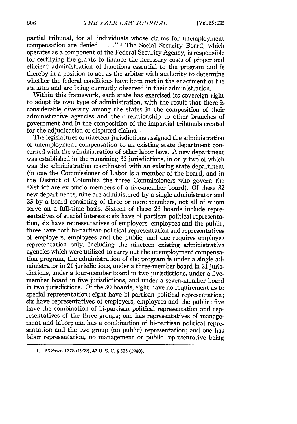partial tribunal, for all individuals whose claims for unemployment compensation are denied. . . ."<sup>1</sup> The Social Security Board, which operates as a component of the Federal Security Agency, is responsible for certifying the grants to finance the necessary costs of pioper and efficient administration of functions essential to the program and is thereby in a position to act as the arbiter with authority to determine whether the federal conditions have been met in the enactment of the statutes and are being currently observed in their administration.

Within this framework, each state has exercised its sovereign right to adopt its own type of administration, with the result that there is considerable diversity among the states in the composition of their administrative agencies and their relationship to other branches of government *ind* in the composition of the impartial tribunals created for the adjudication of disputed claims.

The legislatures of nineteen jurisdictions assigned the administration of unemployment compensation to an existing state department concerned with the administration of other labor laws. A new department was established in the remaining 32 jurisdictions, in only two of which was the administration coordinated with an existing state department (in one the Commissioner of Labor is a member of the board, and in the District of Columbia the three Commissioners who govern the District are ex-officio members of a five-member board). Of these 32 new departments, nine are administered by a single administrator and 23 by a board consisting of three or more members, not all of whom serve on a full-time basis. Sixteen of these 23 boards include representatives of special interests: six have bi-partisan political representation, six have representatives of employers, employees and the public, three have both bi-partisan political representation and representatives of employers, employees and the public, and one requires employee representation only. Including the nineteen existing administrative agencies which were utilized to carry out the unemployment compensation program, the administration of the program is under a single administrator in 21 jurisdictions, under a three-member board in 21 jurisdictions, under a four-member board in two jurisdictions, under a fivemember board in five jurisdictions, and under a seven-member board in two jurisdictions. Of the 30 boards, eight have no requirement as to special representation; eight have bi-partisan political representation; six have representatives of employers, employees and the public; five have the combination of bi-partisan political representation and representatives of the three groups; one has representatives of management and labor; one has a combination of bi-partisan political representation and the two group (no public) representation; and one has labor representation, no management or public representative being

**<sup>1. 53</sup> STAT. 1378 (1939),** 42 **U. S. C.** § **503** (1940).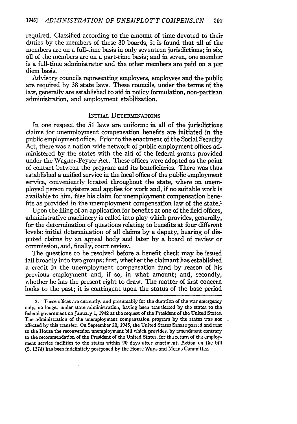required. Classified according to the amount of time devoted to their duties by the members of these 30 boards, it is found that all of the members are on a full-time basis in only seventeen jurisdictions; in six, all of the members are on a part-time basis; and in seven, one member is a full-time administrator and the other members are paid on a per diem basis.

Advisory councils representing employers, employees and the public are required by **38** state laws. These councils, under the terms of the law, generally are established to aid in policy formulation, non-partisan administration, and employment stabilization.

# INITIAL DETERMINATIONS

In one respect the 51 laws are uniform: in all of the jurisdictions claims for unemployment compensation benefits are initiated in the public employment office. Prior to the enactment of the Social Security Act, there was a nation-wide network of public employment offices administered by the states with the aid of the federal grants provided under the WAagner-Peyser Act. These offices were adopted as the point of contact between the program and its beneficiaries. There was thus established a unified service in the local office of the public employment service, conveniently located throughout the state, where an unemployed person registers and applies for work and, if no suitable work is available to him, files his claim for unemployment compensation benefits as provided in the unemployment compensation law of the state.<sup>2</sup>

Upon the filing of an application for benefits at one of the field offices, administrative machinery is called into play which provides, generally, for the determination of questions relating to benefits at four different levels: initial determination of all claims by a deputy, hearing of disputed claims by an appeal body and later by a board of review or commission, and, finally, court review.

The questions to be resolved before a benefit check may be issued fall broadly into two groups: first, whether the claimant has established a credit in the unemployment compensation fund by reason of his previous employment and, if so, in what amount; and, secondly, whether he has the present right to draw. The matter of first concern looks to the past; it is contingent upon the status of the base period

<sup>2.</sup> These offices are currently, and presumably for the duration of the war emergency only, no longer under state administration, having been transferred by the states to the federal government on January **1,** 1942 at the request of the President of the United States. The administration of the unemployment compensation program by the states vas not affected by this transfer. **On** September 20, 1945, the United States Senate pazzed and cant to the House the reconversion unemployment bill which provides, by amendment contrary to the recommendation of the President of the United States, for the return of the employment service facilities to the states within 90 days after enactment. Action **on** the bill (S. 1274) has been indefinitely postponed by the House Ways and Means Committee.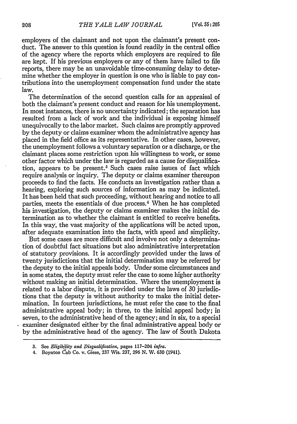employers of the claimant and not upon the claimant's present conduct. The answer to this question is found readily in the central office of the agency where the reports which employers are required to file are kept. If his previous employers or any of them have failed to file reports, there may be an unavoidable time-consuming delay to determine whether the employer in question is one who is liable to pay contributions into the unemployment compensation fund under the state law.

The determination of the second question calls for an appraisal of both the claimant's present conduct and reason for his unemployment. In most instances, there is no uncertainty indicated; the separation has resulted from a lack of work and the individual is exposing himself unequivocally to the labor market. Such claims are promptly approved by the deputy or claims examiner whom the administrative agency has placed in the field office as its representative. In other cases, however, the unemployment follows a voluntary separation or a discharge, or the claimant places some restriction upon his willingness to work, or some other factor which under the law is regarded as a cause for disqualification, appears to be present.3 Such cases raise issues of fact which require analysis or inquiry. The deputy or claims examiner thereupon proceeds to find the facts. He conducts an investigation rather than a hearing, exploring such sources of information as may be indicated. It has been held that such proceeding, without hearing and notice to all parties, meets the essentials of due process.4 When he has completed his investigation, the deputy or claims examiner makes the initial determination as to whether the claimant is entitled to receive benefits. In this way, the vast majority of the applications will be acted upon, after adequate examination into the facts, with speed and simplicity.

But some cases are more difficult and involve not only a determination of doubtful fact situations but also administrative interpretation of statutory provisions. It is accordingly provided under the laws of twenty jurisdictions that the initial determination may be referred **by** the deputy to the initial appeals body. Under some circumstances and in some states, the deputy must refer the case to some higher authority without making an initial determination. Where the unemployment is related to a labor dispute, it is provided under the laws of 30 jurisdictions that the deputy is without authority to make the initial determination. In fourteen jurisdictions, he must refer the case to the final administrative appeal body; in three, to the initial appeal body; in seven, to the administrative head of the agency; and in six, to a special examiner designated either **by** the final administrative appeal body or **by** the administrative head of the agency. The law of South Dakota

4. Boynton **&ab** Co. v. Giese, **237** Wis. **237, 296 N.** W. **630** (1941).

**<sup>3.</sup>** See Eligibifity *and Disqualification,* pages **117-204** *infra.*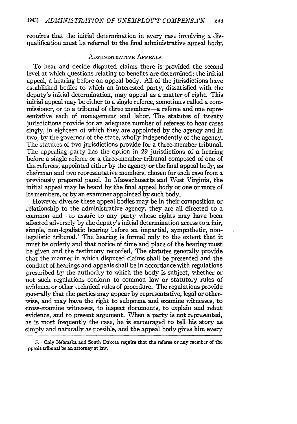requires that the initial determination in every case involving a disqualification must be referred to the final administrative appeal body.

# ADMINISTRATIVE APPEALS

To hear and decide disputed claims there is provided the second level at which questions relating to benefits are determined: the initial appeal, a hearing before an appeal body. All of the jurisdictions have established bodies to which an interested party, dissatisfied with the deputy's initial determination, may appeal as a matter of right. This initial appeal may be either to a single referee, sometimes called a commissioner, or to a tribunal of three members—a referee and one representative each of management and labor. The statutes of twenty jurisdictions provide for an adequate number of referees to hear cases singly, in eighteen of which they are appointed by the agency and in two, by the governor of the state, wholly independently of the agency. The statutes of two jurisdictions provide for a three-member tribunal. The appealing party has the option in 29 jurisdictions of a hearing before a single referee or a three-member tribunal composed of one of the referees, appointed either by the agency or the final appeal body, as chairman and two representative members, chosen for each case from a previously prepared panel. In Massachusetts and West Virginia, the initial appeal may be heard by the final appeal body or one or more of its members, or by an examiner appointed by such body.

However diverse these appeal bodies may be in their composition or relationship to the administrative agency, they are all directed to a common end-to assure to any party whose rights may have been affected adversely by the deputy's initial determination access to a fair, simple, non-legalistic hearing before an impartial, sympathetic, nonlegalistic tribunal.<sup>5</sup> The hearing is formal only to the extent that it must be orderly and that notice of time and place of the hearing must be given and the testimony recorded. The statutes generally provide that the manner in which disputed claims shall be presented and the conduct of hearings and appeals shall be in accordance with regulations prescribed by the authority to which the body is subject, whether or not such regulations conform to common law or statutory rules of evidence or other technical rules of procedure. The regulations provide generally that the parties may appear by representative, legal or otherwise, and may have the right to subpoena and examine witnesses, to cross-examine witnesses, to inspect documents, to explain and rebut evidence, and to present argument. When a party is not represented, as is most frequently the case, he is encouraged to tell his story as simply and naturally as possible, and the appeal body gives him every

**<sup>5.</sup>** Only Nebraska and South Dakota require that the referee or any member of the ppeals tribunal be an attorney at law.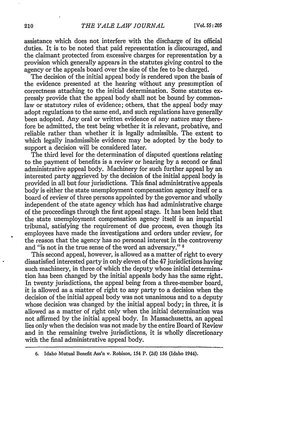assistance which does not interfere with the discharge of its official duties. It is to be noted that paid representation is discouraged, and the claimant protected from excessive charges for representation by a provision which generally appears in the statutes giving control to the agency or the appeals board over the size of the fee to be charged.

The decision of the initial appeal body is rendered upon the basis of the evidence presented at the hearing without any presumption of correctness attaching to the initial determination. Some statutes expressly provide that the appeal body shall not be bound by commonlaw or statutory rules of evidence; others, that the appeal body may adopt regulations to the same end, and such regulations have generally been adopted. Any oral or written evidence of any nature may therefore be admitted, the test being whether it is relevant, probative, and reliable rather than whether it is legally admissible. The extent to which legally inadmissible evidence may be adopted by the body to support a decision will be considered later.

The third level for the determination of disputed questions relating to the payment of benefits is a review or hearing by a second or final administrative appeal body. Machinery for such further appeal by an interested party aggrieved by the decision of the initial appeal body is provided in all but four jurisdictions. This final administrative appeals body is either the state unemployment compensation agency itself or a board of review of three persons appointed by the governor and wholly independent of the state agency which has had administrative charge of the proceedings through the first appeal stage. It has been held that the state unemployment compensation agency itself is an impartial tribunal, satisfying the requirement of due process, even though its employees have made the investigations and orders under review, for the reason that the agency has no personal interest in the controversy and "is not in the true sense of the word an adversary."  $\frac{1}{10}$ 

This second appeal, however, is allowed as a matter of right to every dissatisfied interested party in only eleven of the 47 jurisdictions having such machinery, in three of which the deputy whose initial determination has been changed by the initial appeals body has the same right. In twenty jurisdictions, the appeal being from a three-member board, it is allowed as a matter of right to any party to a decision when the decision of the initial appeal body was not unanimous and to a deputy whose decision was changed by the initial appeal body; in three, it is allowed as a matter of right only when the initial determination was not affirmed by the initial appeal body. In Massachusetts, an appeal lies only when the decision was not made by the entire Board of Review and in the remaining twelve jurisdictions, it is wholly discretionary with the final administrative appeal body.

**<sup>6.</sup>** Idaho Mutual Benefit Ass'n v. Robison, 154 **P. (2d) 156** (Idaho 1944).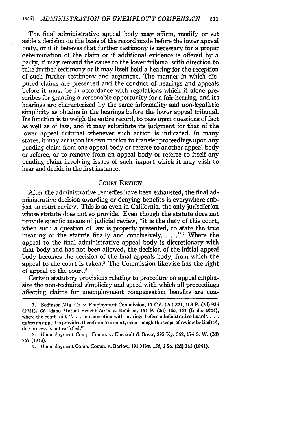The final administrative appeal body may affirm, modify or set aside a decision on the basis of the record made before the lower appeal body, or if it believes that further testimony is necessary for a proper determination of the claim or if additional evidence is offered **by** a party, it may remand the cause to the lower tribunal with direction to take further testimony or it may itself hold a hearing for the reception of such further testimony and argument. The manner in which disputed claims are presented and the conduct of hearings and appeals before it must be in accordance with regulations which it alone prescribes for granting a reasonable opportunity for a fair hearing, and its hearings are characterized **by** the same informality and non-legalistic simplicity as obtains in the hearings before the lower appeal tribunal. Its function is to weigh the entire record, to pass upon questions of fact as well as of law, and it may substitute its judgment for that of the lower appeal tribunal whenever such action is indicated. In many states, it may act upon its own motion to transfer proceedings upon any pending claim from one appeal body or referee to another appeal body or referee, or to remove from an appeal body or referee to itself any pending claim involving issues of such import which it may wish to hear and decide in the first instance.

# COURT **RE vIEW**

After the administrative remedies have been exhausted, the final administrative decision awarding or denying benefits is everywhere subject to court review. This is so even in California, the only jurisdiction whose statute does not so provide. Even though the statute does not provide specific means of judicial review, "it is the duty of this court, when such a question of law is properly presented, to state the true meaning of the statute finally and conclusively. . **. ." 7** Where the appeal to the final administrative appeal body is discretionary with that body and has not been allowed, the decision of the initial appeal body becomes the decision of the final appeals body, from which the appeal to the court is taken.<sup>§</sup> The Commission likewise has the right of appeal to the court.<sup>9</sup>

Certain statutory provisions relating to procedure on appeal emphasize the non-technical simplicity and speed with which all proceedings affecting claims for unemployment compensation benefits are con-

**<sup>7.</sup>** Bodinson **Alfg.** Co. v. Employment Commission, **17** Cal. (2d) **321,** 1OQ P. (2d) **935** (1941). **Cf.** Idaho Mutual Benefit Ass'n **v.** Robison, 154 P. (2d) **156, 161** (Idaho 1944), where the court said, ". . . in connection with hearings before administrative boards . . . unless an appeal is provided therefrom to a court, even though the scope of review be limited, due process is not satisfied."

<sup>8.</sup> Unemployment Comp. Comm. v. Chenault & Orear, 295 Ky. 562, 174 S. W. (2d) **767** (1943).

<sup>9.</sup> Unemployment Comp. Comm. v. Barlow, 191 Miss. 156, 1 So. **(2d)** 241 (1941).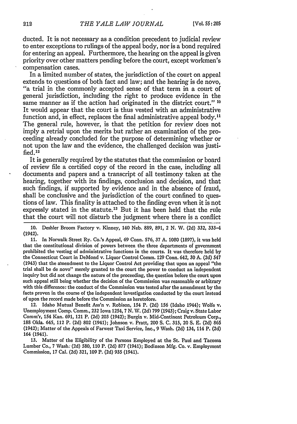ducted. It is not necessary as a condition precedent to judicial review to enter exceptions to rulings of the appeal body, nor is a bond required for entering an appeal. Furthermore, the hearing on the appeal is given priority over other matters pending before the court, except workmen's compensation cases.

In a limited number of states, the jurisdiction of the court on appeal extends to questions of both fact and law: and the hearing is de novo. "a trial in the commonly accepted sense of that term in a court of general jurisdiction, including the right to produce evidence in the same manner as if the action had originated in the district court." **10** It would appear that the court is thus vested with an administrative function and, in effect, replaces the final administrative appeal body.<sup>11</sup> The general rule, however, is that the petition for review does not imply a retrial upon the merits but rather an examination of the proceeding already concluded for the purpose of determining whether or not upon the law and the evidence, the challenged decision was justified  $12$ 

It is generally required by the statutes that the commission or board of review file a certified copy of the record in the case, including all documents and papers and a transcript of all testimony taken at the hearing, together with its findings, conclusion and decision, and that such findings, if supported by evidence and in the absence of fraud, shall be conclusive and the jurisdiction of the court confined to questions of law. This finality is attached to the finding even when it is not expressly stated in the statute.<sup>13</sup> But it has been held that the rule that the court will not disturb the judgment where there is a conflict

10. Deshler Broom Factory v. Kinney, 140 Neb. 889, 891, 2 N. W. (2d) 332, 333-4 (1942).

11. In Norwalk Street Ry. Co.'s Appeal, 69 Conn. 576, 37 A. 1080 (1897), it was held that the constitutional division of powers between the three departments of government prohibited the vesting of administrative functions in the courts. It was therefore held by the Connecticut Court in DeMond v. Liquor Control Comm. 129 Conn. 642, **30 A.** (2d) 547 (1943) that the amendment to the Liquor Control Act providing that upon an appeal "the trial shall be de novo" merely granted to the court the power to conduct an independent inquiry but did not change the nature of the proceeding, the question before the court upon such appeal still being whether the decision of the Commission was reasonable or arbitrary with this difference: the conduct of the Commission was tested after the amendment by the facts proven in the course of the independent investigation conducted by the court instead of upon the record made before the Commission as heretofore.

12. Idaho Mutual Benefit Ass'n v. Robison, 154 P. (2d) **156** (Idaho 1944); Wolfe **v.** Unemployment Comp. Comm., 232 Iowa 1254,7 N. W. (2d) 799 (1943); Craig v. State Labor Comm'r, 154 Kan. 691, 121 P. (2d) **203** (1942); Burgin v. Mid-Continent Petroleum Corp., **188** Okla. 645, 112 P. (2d) **802** (1941); Johnson v. Pratt, 200 S. C. **315,** 20 **S. E.** (2d) 865 (1942); Matter of the Appeals of Farwest Taxi Service, Inc., 9 Wash. (2d) 134, 114 P. (2d) 164 (1941).

13. Matter of the Eligibility of the Persons Employed at the St. Paul and Tacoma Lumber Co., 7 Wash: (2d) 580, 110 P. (2d) **877** (1941); Bodinson Mfg. Co. v. Employment Commission, 17 Cal. (2d) 321, 109 P. (2d) 935 (1941).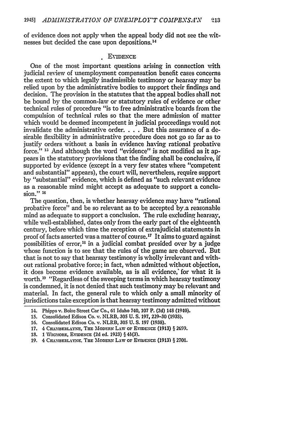of evidence does not apply when the appeal body did not see the witnesses but decided the case upon depositions.<sup>14</sup>

#### **ENIDENCE**

One of the most important questions arising in connection with judicial review of unemployment compensation benefit cases concerns the extent to which legally inadmissible testimony or hearsay may be relied upon by the administrative bodies to support their findings and decision. The provision in the statutes that the appeal bodies shall not be bound by the common-law or statutory rules of evidence or other technical rules of procedure "is to free administrative boards from the compulsion of technical rules so that the mere admission of matter which would be deemed incompetent in judicial proceedings would not invalidate the administrative order. . . . But this assurance of a desirable flexibility in administrative procedure does not go so far as to justify orders without a basis in evidence having rational probative force." <sup>15</sup> And although the word "evidence" is not modified as it appears in the statutory provisions that the finding shall be conclusive, if supported by evidence (except in a very few states where "competent and substantial" appears), the court will, nevertheless, require support by "substantial" evidence, which is defined as "such relevant evidence as a reasonable mind might accept as adequate to support a conclusion." **16**

The question, then, is whether hearsay evidence may have "rational probative force" and be so relevant as to be accepted by.a reasonable mind as adequate to support a conclusion. The rule excluding hearsay, while well-established, dates only from the early part of the eighteenth century, before which time the reception of extrajudicial statements in proof of facts asserted was a matter of course. 17 It aims to guard against possibilities of error,<sup>18</sup> in a judicial combat presided over by a judge whose function is to see that the rules of the game are observed. But that is not to say that hearsay testimony is wholly irrelevant and without rational probative force; in fact, when admitted without objection, it does become evidence available, as is all evidence,' for what it is worth.<sup>19</sup> "Regardless of the sweeping terms in which hearsay testimony is condemned, it is not denied that such testimony may be relevant and material. In fact, the general rule to which only a small minority of jurisdictions take exception is that hearsay testimony admitted without

**16.** Consolidated Edison **Co. v.** NLRB, **305 U. S. 197 (1938).**

18. 1 WIGMORE, **EVIDENCE** (2d ed. 1923) § 4b(3).

<sup>14.</sup> Phipps v. Boise Street Car Co., **61** Idaho 740, **107 P. (2d)** 148 (1940).

**<sup>15.</sup>** Consolidated Edison **Co. v.** NLRB, **305 U. S. 197, 229-30 (193S).**

<sup>17.</sup> **4 CHAMBERLAYNE, THE MODERN LAW OF EVIDENCE (1913) § 2699.** 

<sup>19.</sup> **4 CHAMBERLAYNE. THE MODERN LAW OF EVIDENCE (1913) § 2701.**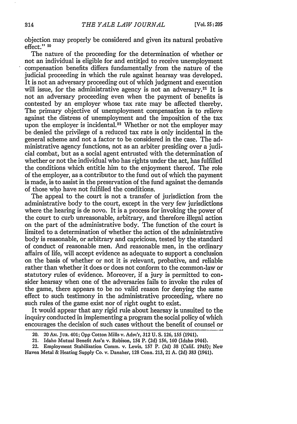objection may properly be considered and given its natural probative effect." **<sup>20</sup>**

The nature of the proceeding for the determination of whether or not an individual is eligible for and entitled to receive unemployment compensation benefits differs fundamentally from the nature of the judicial proceeding in which the rule against hearsay was developed. It is not an adversary proceeding out of which judgment and execution will issue, for the administrative agency is not an adversary.<sup>21</sup> It is not an adversary proceeding even when the payment of benefits is contested by an employer whose tax rate may be affected thereby. The primary objective of unemployment compensation is to relieve against the distress of unemployment and the imposition of the tax upon the employer is incidental.<sup>22</sup> Whether or not the employer may be denied the privilege of a reduced tax rate is only incidental in the general scheme and not a factor to be considered in the case. The administrative agency functions, not as an arbiter presiding over a judicial combat, but as a social agent entrusted with the determination of whether or not the individual who has rights under the act, has fulfilled the conditions which entitle him to the enjoyment thereof. The role of the employer, as a contributor to the fund out of which the payment is made, is to assist in the preservation of the fund against the demands of those who have not fulfilled the conditions.

The appeal to the court is not a transfer of jurisdiction from the administrative body to the court, except in the very few jurisdictions where the hearing is de novo. It is a process for invoking the power of the court to curb unreasonable, arbitrary, and therefore illegal action on the part of the administrative body. The function of the court is limited to a determination of whether the action of the administrative body is reasonable, or arbitrary and capricious, tested by the standard of conduct of reasonable men. And reasonable men, in the ordinary affairs of life, will accept evidence as adequate to support a conclusion on the basis of whether or not it is relevant, probative, and reliable rather than whether it does or does not conform to the common-law or statutory rules of evidence. Moreover, if a jury is permitted to consider hearsay when one of the adversaries fails to invoke the rules of the game, there appears to be no valid reason for denying the same effect to such testimony in the administrative proceeding, where no such rules of the game exist nor of right ought to exist.

It would appear that any rigid rule about hearsay is unsuited to the inquiry conducted in implementing a program the social policy of which encourages the decision of such cases without the benefit of counsel or

<sup>20. 20</sup> *AM.* **JUR.** 401; **Opp** Cotton Mills v. Adm'r, **312 U. S. 126, 155** (1941).

<sup>21.</sup> Idaho Mutual Benefit Ass'n v. Robison, 154 P. **(2d) 156, 160** (Idaho 1944).

**<sup>22.</sup>** Employment Stabilization Comm. **v.** Lewis, **157** P. **(2d) 38** (Calif. 1945); NeW Haven Metal **&** Heating Supply Co. v. Danaher, **128** Conn. **213,** 21 **A. (2d) 383** (1941).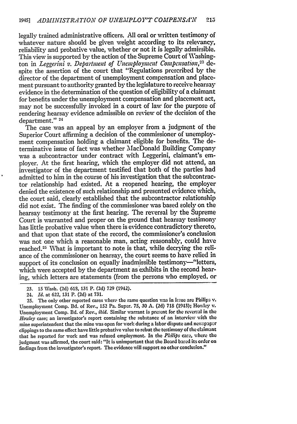legally trained administrative officers. All oral or written testimony of whatever nature should be given weight according to its relevancy, reliability and probative value, whether or not it is legally admissible. This view is supported by the action of the Supreme Court of Washington in *Leggerini v. Department of Unemployment Compensation,23* **de**spite the assertion of the court that "Regulations prescribed by the director of the department of unemployment compensation and placement pursuant to authority granted by the legislature to receive hearsay evidence in the determination of the question of eligibility of a claimant for benefits under the unemployment compensation and placement act, may not be successfully invoked in a court of law for the purpose of rendering hearsay evidence admissible on review of the decision of the department." 24

The case was an appeal by an employer from a judgment of the Superior Court affirming a decision of the commissioner of unemployment compensation holding a claimant eligible for benefits. The determinative issue of fact was whether MacDonald Building Company was a subcontractor under contract with Leggerini, claimant's employer. At the first hearing, which the employer did not attend, an investigator of the department testified that both of the parties had admitted to him in the course of his investigation that the subcontractor relationship had existed. At a reopened hearing, the employer denied the existence of such relationship and presented evidence which, the court said, clearly established that the subcontractor relationship did not exist. The finding of the commissioner was based solely on the hearsay testimony at the first hearing. The reversal by the Supreme Court is warranted and proper on the ground that hearsay testimony has little probative value when there is evidence contradictory thereto, and that upon that state of the record, the commissioner's conclusion was not one which a reasonable man, acting reasonably, could have reached.<sup>25</sup> What is important to note is that, while decrying the reliance of the commissioner on hearsay, the court seems to have relied in support of its conclusion on equally inadmissible testimony—"letters, which were accepted by the department as exhibits in the second hearing, which letters are statements (from the persons who employed, or

25. The only other reported cases where the same question was in issue are Philips v. Unemployment Comp. Bd. of Rev., 152 Pa. Super. 75, **30** A. (2d) **718** (1943); Howley **V.** Unemployment Comp. Bd. of Rev., *ibid.* Similar warrant is present for the reversal in the Howley case; an investigator's report containing the substance of an interview with the mine superintendent that the mine was open for work during a labor dispute and newspapzr clippings to the same effect have little probative value to rebut the testimony of the claimant that he reported for work and was refused employment. In the *Philips* case, where the judgment was affirmed, the court said: "It is unimportant that the Board based its order on findings from the investigator's report. The evidence will support no other conclusion."

<sup>23.</sup> **15** Wash. (2d) **618, 131** P. **(2d)** 729 (1942).

<sup>24.</sup> *Id.* at 622, **131** P. (2d) at 731.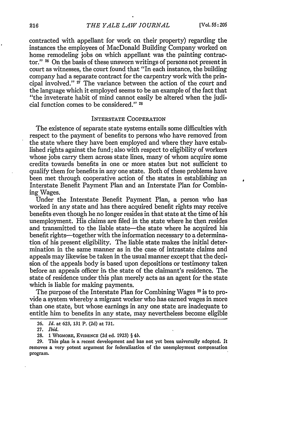contracted with appellant for work on their property) regarding the instances the employees of MacDonald Building Company worked on home remodeling jobs on which appellant was the painting contractor." **26** On the basis of these unsworn writings of persons not present in court as witnesses, the court found that "In each instance, the building company had a separate contract for the carpentry work with the principal involved." **27** The variance between the action of the court and the language which it employed seems to be an example of the fact that "the inveterate habit of mind cannot easily be altered when the judicial function comes to be considered." **28**

#### INTERSTATE COOPERATION

The existence of separate state systems entails some difficulties with respect to the payment of benefits to persons who have removed from the state where they have been employed and where they have established rights against the fund; also with respect to eligibility of workers whose jobs carry them across state lines, many of whom acquire some credits towards benefits in one or more states but not sufficient to qualify them for benefits in any one state. Both of these problems have been met through cooperative action of the states in establishing an Interstate Benefit Payment Plan and an Interstate Plan for Combining Wages.

Under the Interstate Benefit Payment Plan, a person who has worked in any state and has there acquired benefit rights may receive benefits even though he no longer resides in that state at the time of his unemployment. His claims are filed in the state where he then resides and transmitted to the liable state—the state where he acquired his benefit rights—together with the information necessary to a determination of his present eligibility. The liable state makes the initial determination in the same manner as in the case of intrastate claims and appeals may likewise be taken in the usual manner except that the decision of the appeals body is based upon depositions or testimony taken before an appeals officer in the state of the claimant's residence. The state of residence under this plan merely acts as an agent for the state which is liable for making payments.

The purpose of the Interstate Plan for Combining Wages **29** is to provide a system whereby a migrant worker who has earned wages in more than one state, but whose earnings in any one state are inadequate to entitle him to benefits in any state, may nevertheless become eligible

**<sup>26.</sup>** *Id.* at **623, 131** P. **(2d)** at **731.**

**<sup>27.</sup>** *Ibid.*

**<sup>28. 1</sup> WIGMORE, EVIDENCE (2d ed. 1923)** § *4b.*

**<sup>29.</sup>** This **plan** is a **recent development and** has **not yet been universally adopted. It removes a very potent argument for federalization of the unemployment** compensation **program.**